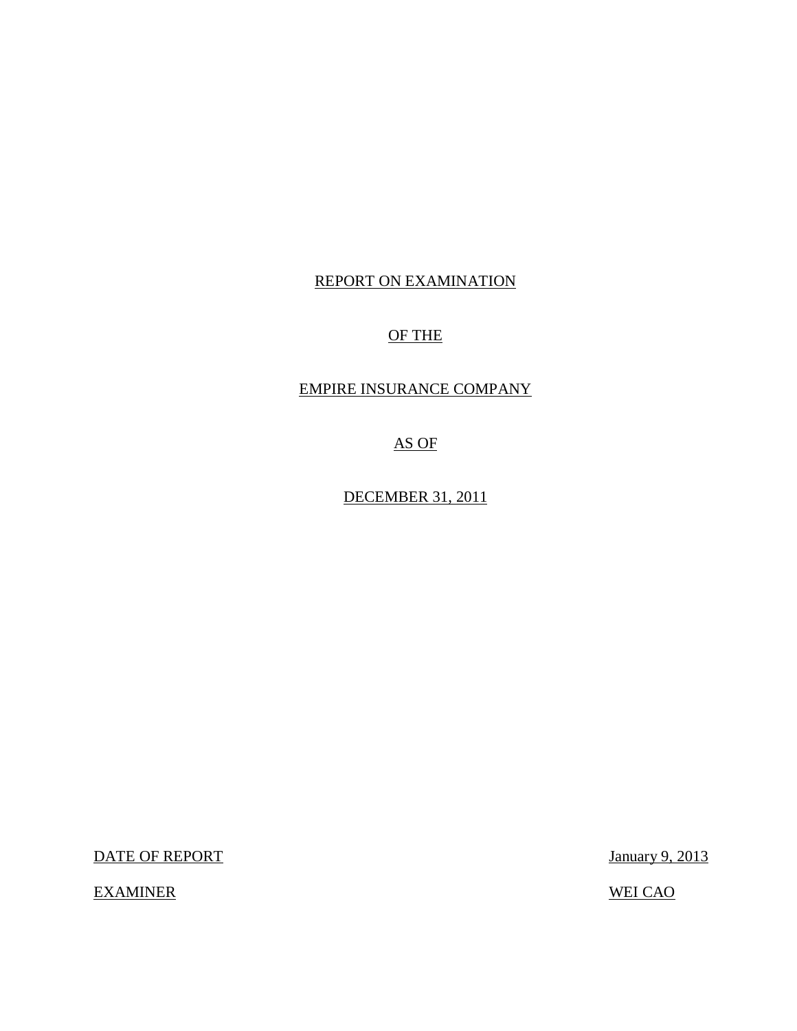## REPORT ON EXAMINATION

## OF THE

## EMPIRE INSURANCE COMPANY

AS OF

DECEMBER 31, 2011

DATE OF REPORT January 9, 2013

EXAMINER WEI CAO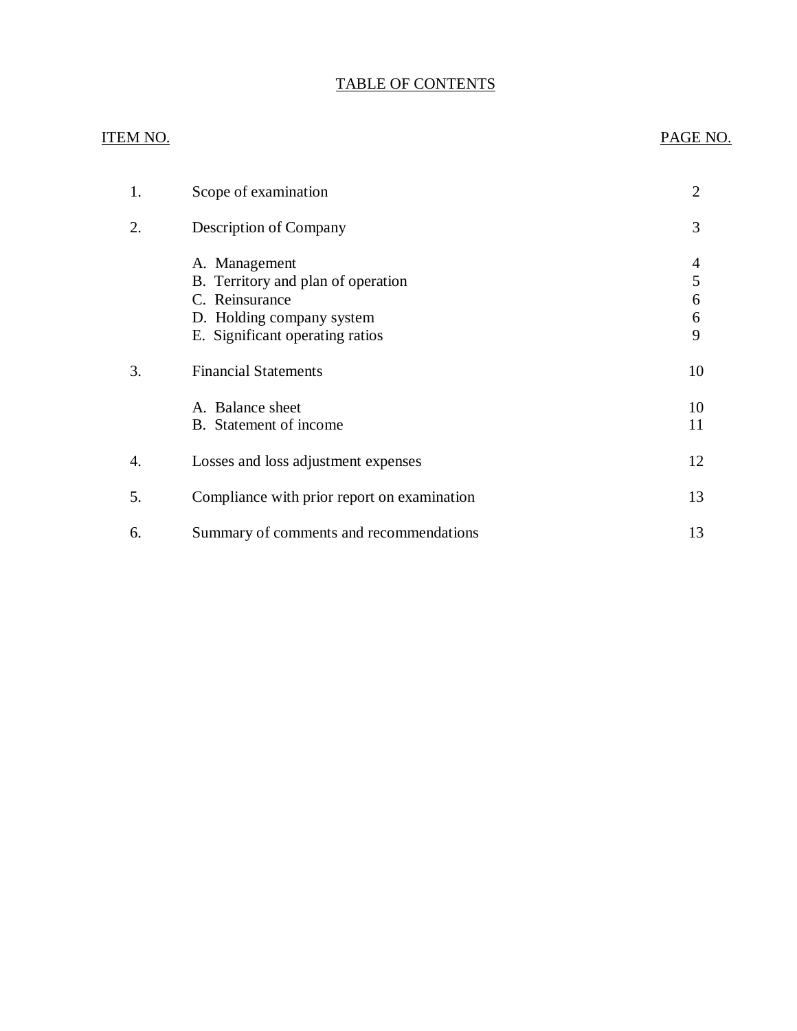## TABLE OF CONTENTS

## ITEM NO. PAGE NO.

| 1. | Scope of examination                                                                                                                  | $\overline{2}$   |
|----|---------------------------------------------------------------------------------------------------------------------------------------|------------------|
| 2. | Description of Company                                                                                                                | 3                |
|    | A. Management<br>B. Territory and plan of operation<br>C. Reinsurance<br>D. Holding company system<br>E. Significant operating ratios | 5<br>6<br>6<br>9 |
| 3. | <b>Financial Statements</b>                                                                                                           | 10               |
|    | A. Balance sheet<br>B. Statement of income                                                                                            | 10<br>11         |
| 4. | Losses and loss adjustment expenses                                                                                                   | 12               |
| 5. | Compliance with prior report on examination                                                                                           | 13               |
| 6. | Summary of comments and recommendations                                                                                               | 13               |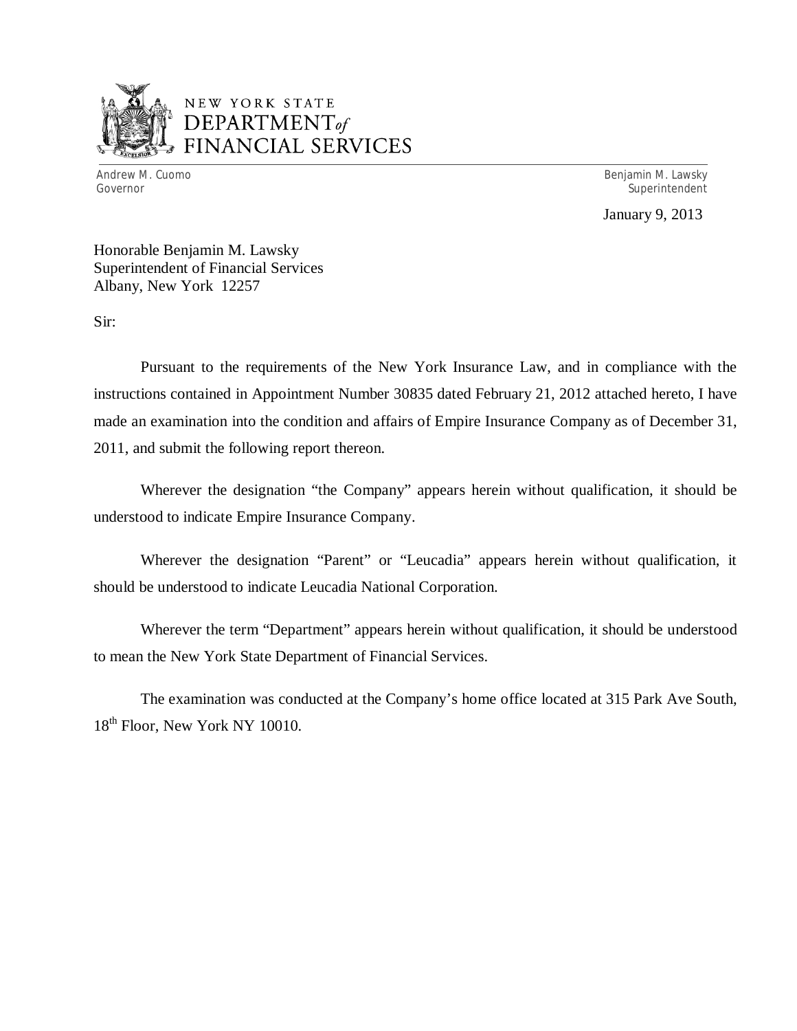

## NEW YORK STATE *DEPARTMENTof*  FINANCIAL SERVICES

Andrew M. Cuomo Governor

Benjamin M. Lawsky Superintendent

January 9, 2013

Honorable Benjamin M. Lawsky Superintendent of Financial Services Albany, New York 12257

Sir:

Pursuant to the requirements of the New York Insurance Law, and in compliance with the instructions contained in Appointment Number 30835 dated February 21, 2012 attached hereto, I have made an examination into the condition and affairs of Empire Insurance Company as of December 31, 2011, and submit the following report thereon.

Wherever the designation "the Company" appears herein without qualification, it should be understood to indicate Empire Insurance Company.

Wherever the designation "Parent" or "Leucadia" appears herein without qualification, it should be understood to indicate Leucadia National Corporation.

Wherever the term "Department" appears herein without qualification, it should be understood to mean the New York State Department of Financial Services.

The examination was conducted at the Company's home office located at 315 Park Ave South, 18<sup>th</sup> Floor, New York NY 10010.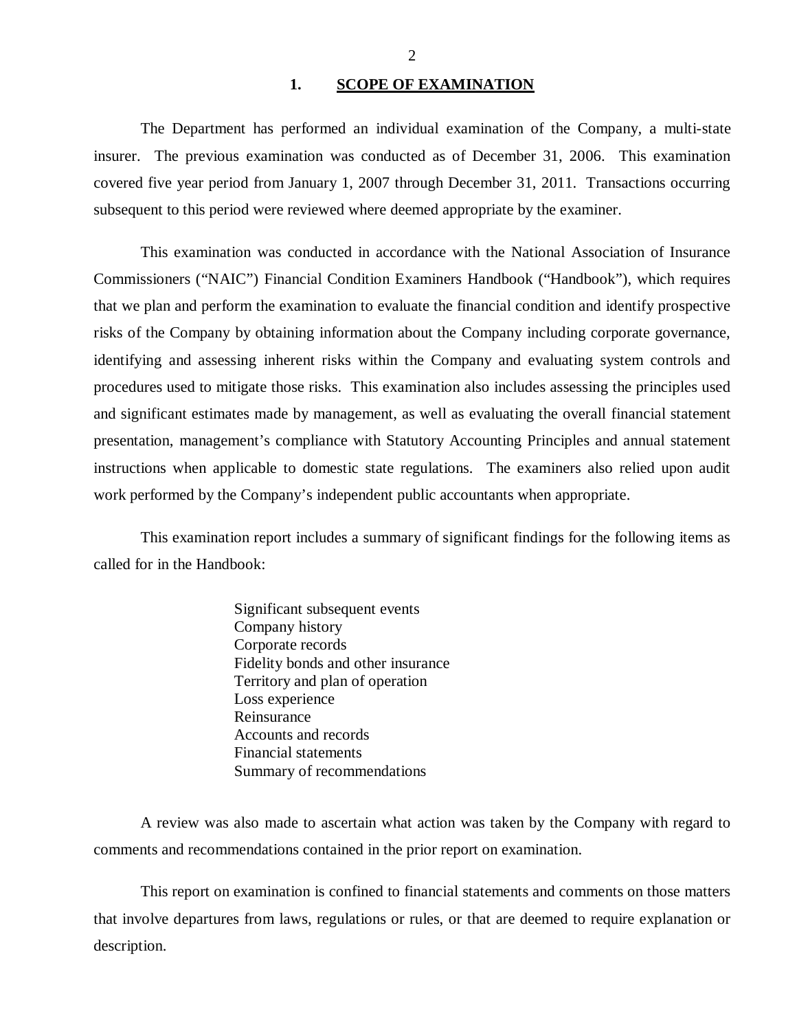#### 1. SCOPE OF EXAMINATION

<span id="page-3-0"></span>The Department has performed an individual examination of the Company*,* a multi-state insurer. The previous examination was conducted as of December 31, 2006. This examination covered five year period from January 1, 2007 through December 31, 2011. Transactions occurring subsequent to this period were reviewed where deemed appropriate by the examiner.

This examination was conducted in accordance with the National Association of Insurance Commissioners ("NAIC") Financial Condition Examiners Handbook ("Handbook"), which requires that we plan and perform the examination to evaluate the financial condition and identify prospective risks of the Company by obtaining information about the Company including corporate governance, identifying and assessing inherent risks within the Company and evaluating system controls and procedures used to mitigate those risks. This examination also includes assessing the principles used and significant estimates made by management, as well as evaluating the overall financial statement presentation, management's compliance with Statutory Accounting Principles and annual statement instructions when applicable to domestic state regulations. The examiners also relied upon audit work performed by the Company's independent public accountants when appropriate.

This examination report includes a summary of significant findings for the following items as called for in the Handbook:

> Significant subsequent events Company history Corporate records Fidelity bonds and other insurance Territory and plan of operation Loss experience Reinsurance Accounts and records Financial statements Summary of recommendations

A review was also made to ascertain what action was taken by the Company with regard to comments and recommendations contained in the prior report on examination.

This report on examination is confined to financial statements and comments on those matters that involve departures from laws, regulations or rules, or that are deemed to require explanation or description.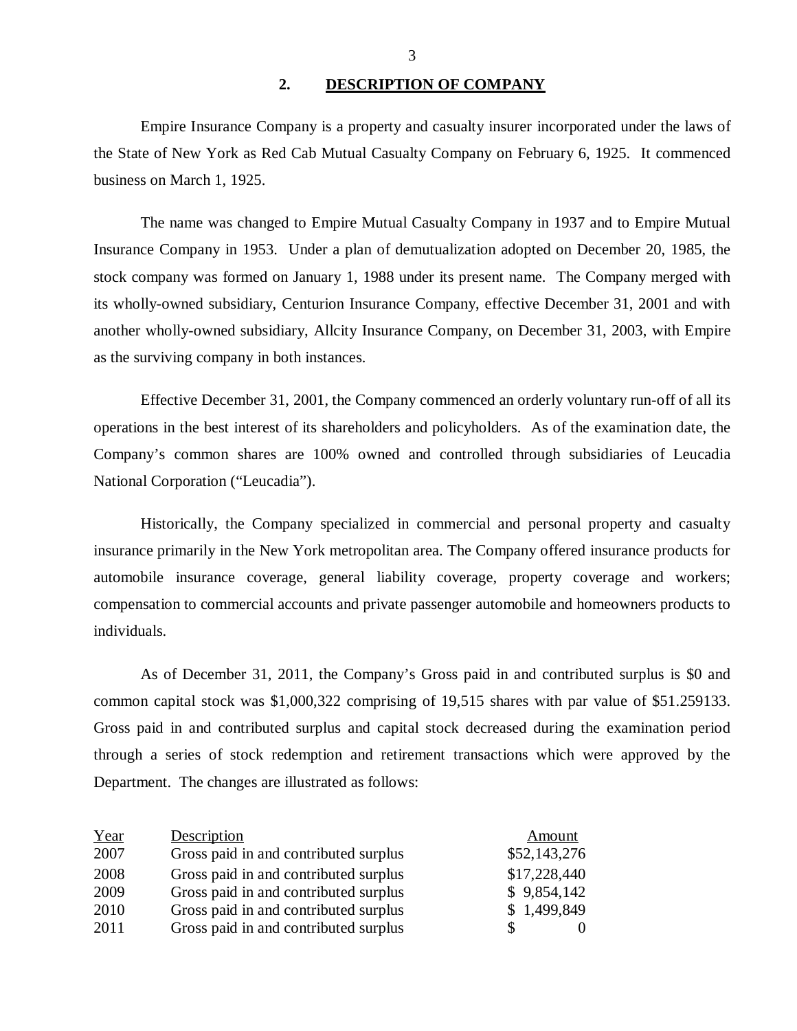#### **2. DESCRIPTION OF COMPANY**

Empire Insurance Company is a property and casualty insurer incorporated under the laws of the State of New York as Red Cab Mutual Casualty Company on February 6, 1925. It commenced business on March 1, 1925.

The name was changed to Empire Mutual Casualty Company in 1937 and to Empire Mutual Insurance Company in 1953. Under a plan of demutualization adopted on December 20, 1985, the stock company was formed on January 1, 1988 under its present name. The Company merged with its wholly-owned subsidiary, Centurion Insurance Company, effective December 31, 2001 and with another wholly-owned subsidiary, Allcity Insurance Company, on December 31, 2003, with Empire as the surviving company in both instances.

Effective December 31, 2001, the Company commenced an orderly voluntary run-off of all its operations in the best interest of its shareholders and policyholders. As of the examination date, the Company's common shares are 100% owned and controlled through subsidiaries of Leucadia National Corporation ("Leucadia").

Historically, the Company specialized in commercial and personal property and casualty insurance primarily in the New York metropolitan area. The Company offered insurance products for automobile insurance coverage, general liability coverage, property coverage and workers; compensation to commercial accounts and private passenger automobile and homeowners products to individuals.

As of December 31, 2011, the Company's Gross paid in and contributed surplus is \$0 and common capital stock was \$1,000,322 comprising of 19,515 shares with par value of \$51.259133. Gross paid in and contributed surplus and capital stock decreased during the examination period through a series of stock redemption and retirement transactions which were approved by the Department. The changes are illustrated as follows:

| Year | Description                           | Amount       |
|------|---------------------------------------|--------------|
| 2007 | Gross paid in and contributed surplus | \$52,143,276 |
| 2008 | Gross paid in and contributed surplus | \$17,228,440 |
| 2009 | Gross paid in and contributed surplus | \$9,854,142  |
| 2010 | Gross paid in and contributed surplus | \$1,499,849  |
| 2011 | Gross paid in and contributed surplus |              |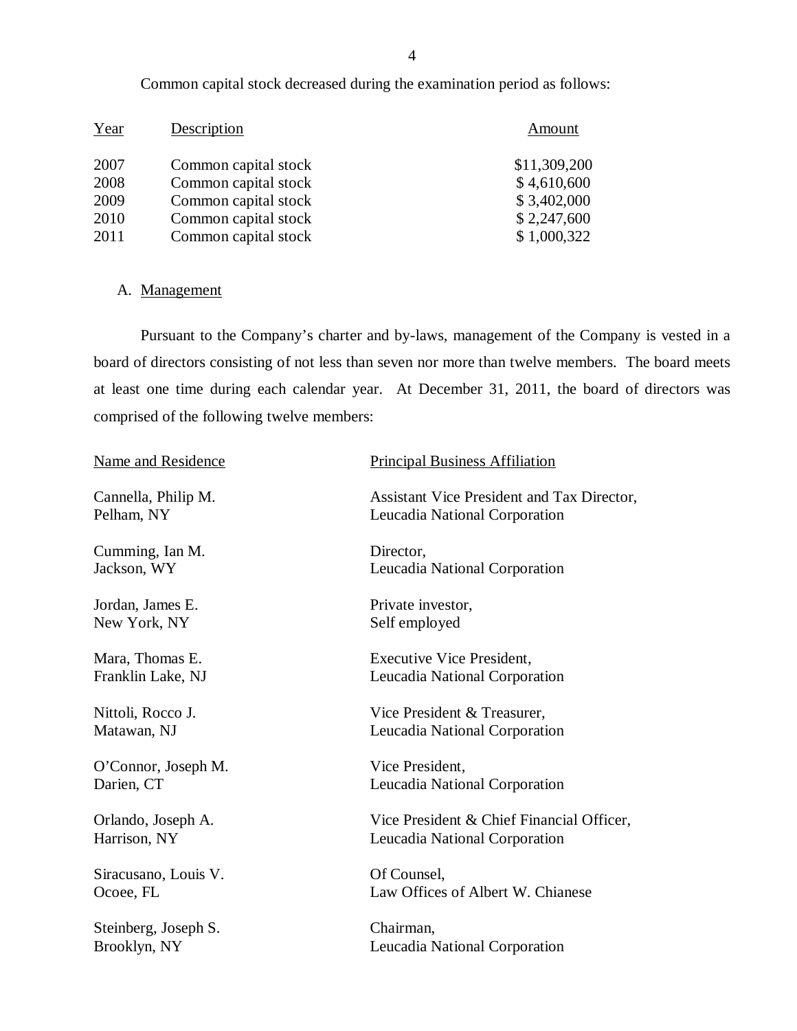| Year | Description          | Amount       |
|------|----------------------|--------------|
| 2007 | Common capital stock | \$11,309,200 |
| 2008 | Common capital stock | \$4,610,600  |
| 2009 | Common capital stock | \$3,402,000  |
| 2010 | Common capital stock | \$2,247,600  |
| 2011 | Common capital stock | \$1,000,322  |

Common capital stock decreased during the examination period as follows:

## A. Management

Pursuant to the Company's charter and by-laws, management of the Company is vested in a board of directors consisting of not less than seven nor more than twelve members. The board meets at least one time during each calendar year. At December 31, 2011, the board of directors was comprised of the following twelve members:

| Name and Residence   | <b>Principal Business Affiliation</b>      |
|----------------------|--------------------------------------------|
| Cannella, Philip M.  | Assistant Vice President and Tax Director, |
| Pelham, NY           | Leucadia National Corporation              |
| Cumming, Ian M.      | Director,                                  |
| Jackson, WY          | Leucadia National Corporation              |
| Jordan, James E.     | Private investor,                          |
| New York, NY         | Self employed                              |
| Mara, Thomas E.      | <b>Executive Vice President,</b>           |
| Franklin Lake, NJ    | Leucadia National Corporation              |
| Nittoli, Rocco J.    | Vice President & Treasurer,                |
| Matawan, NJ          | Leucadia National Corporation              |
| O'Connor, Joseph M.  | Vice President,                            |
| Darien, CT           | Leucadia National Corporation              |
| Orlando, Joseph A.   | Vice President & Chief Financial Officer,  |
| Harrison, NY         | Leucadia National Corporation              |
| Siracusano, Louis V. | Of Counsel,                                |
| Ocoee, FL            | Law Offices of Albert W. Chianese          |
| Steinberg, Joseph S. | Chairman,                                  |
| Brooklyn, NY         | Leucadia National Corporation              |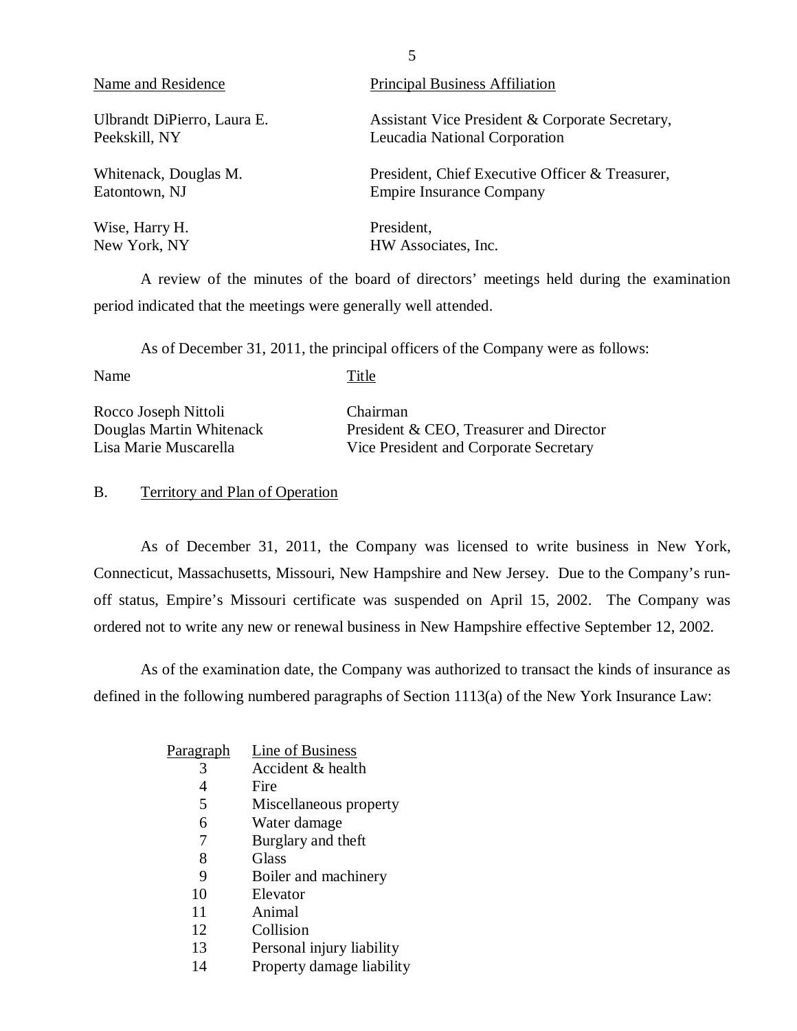<span id="page-6-0"></span>

| Name and Residence          | <b>Principal Business Affiliation</b>           |
|-----------------------------|-------------------------------------------------|
| Ulbrandt DiPierro, Laura E. | Assistant Vice President & Corporate Secretary, |
| Peekskill, NY               | Leucadia National Corporation                   |
| Whitenack, Douglas M.       | President, Chief Executive Officer & Treasurer, |
| Eatontown, NJ               | <b>Empire Insurance Company</b>                 |
| Wise, Harry H.              | President,                                      |
| New York, NY                | HW Associates, Inc.                             |

A review of the minutes of the board of directors' meetings held during the examination period indicated that the meetings were generally well attended.

As of December 31, 2011, the principal officers of the Company were as follows:

Name Title

Rocco Joseph Nittoli Chairman

Douglas Martin Whitenack President & CEO, Treasurer and Director Lisa Marie Muscarella Vice President and Corporate Secretary

### B. Territory and Plan of Operation

As of December 31, 2011, the Company was licensed to write business in New York, Connecticut, Massachusetts, Missouri, New Hampshire and New Jersey. Due to the Company's runoff status, Empire's Missouri certificate was suspended on April 15, 2002. The Company was ordered not to write any new or renewal business in New Hampshire effective September 12, 2002.

As of the examination date, the Company was authorized to transact the kinds of insurance as defined in the following numbered paragraphs of Section 1113(a) of the New York Insurance Law:

| <u>Paragraph</u> | Line of Business          |
|------------------|---------------------------|
| 3                | Accident & health         |
| 4                | Fire                      |
| 5                | Miscellaneous property    |
| 6                | Water damage              |
| 7                | Burglary and theft        |
| 8                | Glass                     |
| 9                | Boiler and machinery      |
| 10               | Elevator                  |
| 11               | Animal                    |
| 12               | Collision                 |
| 13               | Personal injury liability |
| 14               | Property damage liability |
|                  |                           |

5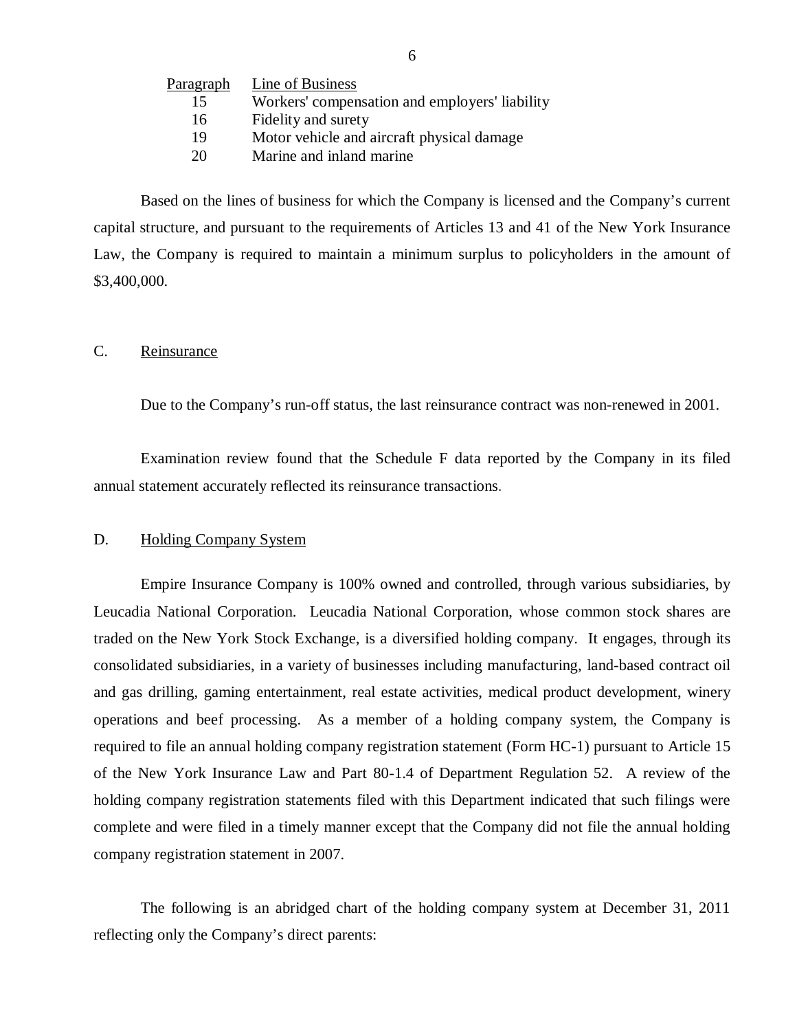<span id="page-7-0"></span>

| <u>Paragraph</u> | Line of Business                               |
|------------------|------------------------------------------------|
| 15               | Workers' compensation and employers' liability |
| 16               | Fidelity and surety                            |
| 19               | Motor vehicle and aircraft physical damage     |
| 20               | Marine and inland marine                       |

Based on the lines of business for which the Company is licensed and the Company's current capital structure, and pursuant to the requirements of Articles 13 and 41 of the New York Insurance Law, the Company is required to maintain a minimum surplus to policyholders in the amount of \$3,400,000.

#### C. Reinsurance

Due to the Company's run-off status, the last reinsurance contract was non-renewed in 2001.

Examination review found that the Schedule F data reported by the Company in its filed annual statement accurately reflected its reinsurance transactions.

#### D. Holding Company System

Empire Insurance Company is 100% owned and controlled, through various subsidiaries, by Leucadia National Corporation. Leucadia National Corporation, whose common stock shares are traded on the New York Stock Exchange, is a diversified holding company. It engages, through its consolidated subsidiaries, in a variety of businesses including manufacturing, land-based contract oil and gas drilling, gaming entertainment, real estate activities, medical product development, winery operations and beef processing. As a member of a holding company system, the Company is required to file an annual holding company registration statement (Form HC-1) pursuant to Article 15 of the New York Insurance Law and Part 80-1.4 of Department Regulation 52. A review of the holding company registration statements filed with this Department indicated that such filings were complete and were filed in a timely manner except that the Company did not file the annual holding company registration statement in 2007.

The following is an abridged chart of the holding company system at December 31, 2011 reflecting only the Company's direct parents: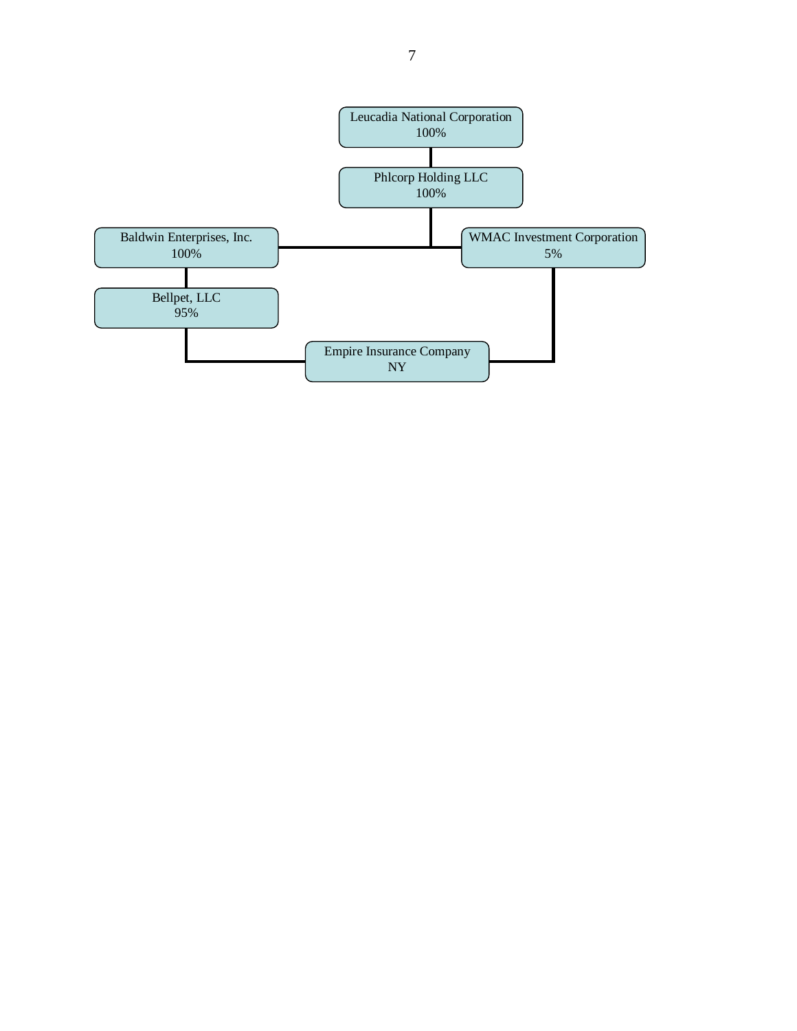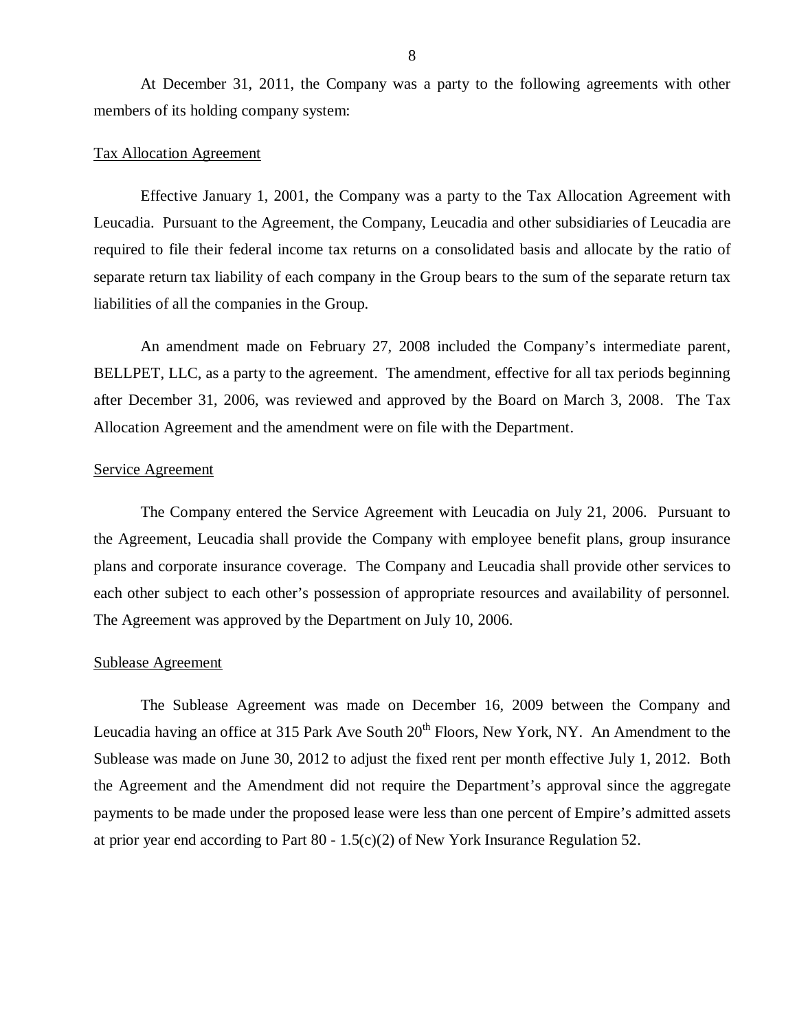At December 31, 2011, the Company was a party to the following agreements with other members of its holding company system:

#### Tax Allocation Agreement

Effective January 1, 2001, the Company was a party to the Tax Allocation Agreement with Leucadia. Pursuant to the Agreement, the Company, Leucadia and other subsidiaries of Leucadia are required to file their federal income tax returns on a consolidated basis and allocate by the ratio of separate return tax liability of each company in the Group bears to the sum of the separate return tax liabilities of all the companies in the Group.

An amendment made on February 27, 2008 included the Company's intermediate parent, BELLPET, LLC, as a party to the agreement. The amendment, effective for all tax periods beginning after December 31, 2006, was reviewed and approved by the Board on March 3, 2008. The Tax Allocation Agreement and the amendment were on file with the Department.

#### Service Agreement

The Company entered the Service Agreement with Leucadia on July 21, 2006. Pursuant to the Agreement, Leucadia shall provide the Company with employee benefit plans, group insurance plans and corporate insurance coverage. The Company and Leucadia shall provide other services to each other subject to each other's possession of appropriate resources and availability of personnel. The Agreement was approved by the Department on July 10, 2006.

#### Sublease Agreement

The Sublease Agreement was made on December 16, 2009 between the Company and Leucadia having an office at 315 Park Ave South  $20<sup>th</sup>$  Floors, New York, NY. An Amendment to the Sublease was made on June 30, 2012 to adjust the fixed rent per month effective July 1, 2012. Both the Agreement and the Amendment did not require the Department's approval since the aggregate payments to be made under the proposed lease were less than one percent of Empire's admitted assets at prior year end according to Part 80 - 1.5(c)(2) of New York Insurance Regulation 52.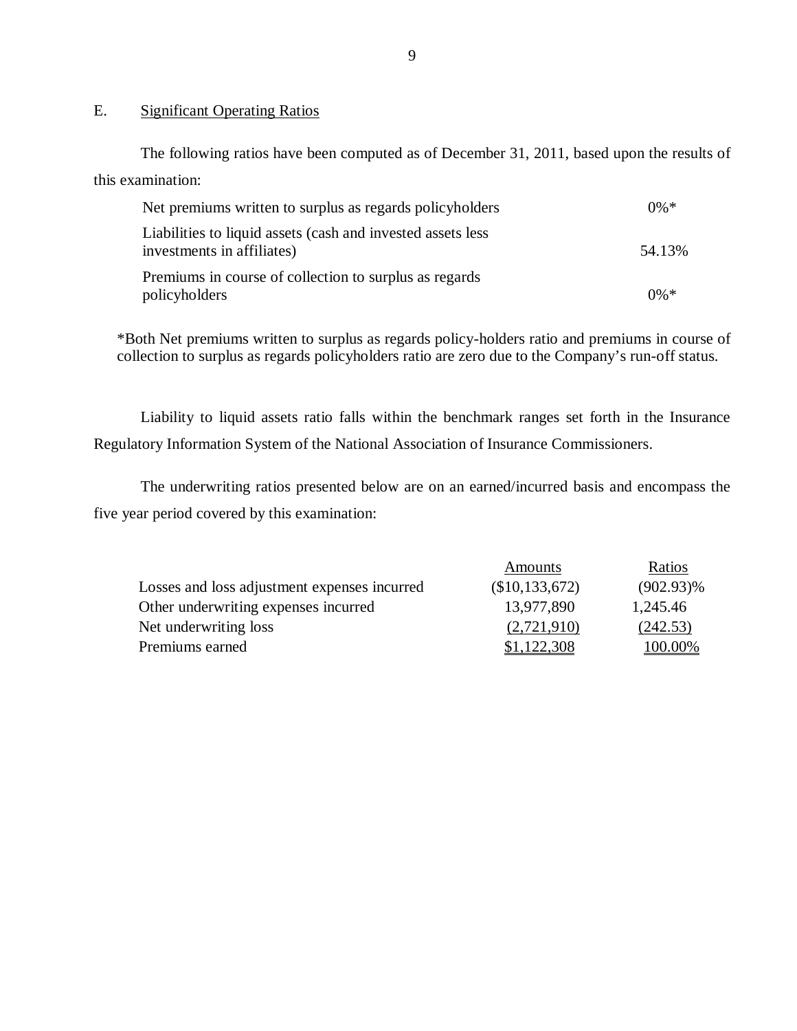### E. Significant Operating Ratios

The following ratios have been computed as of December 31, 2011, based upon the results of this examination:

| Net premiums written to surplus as regards policyholders                                  | $0\% *$ |
|-------------------------------------------------------------------------------------------|---------|
| Liabilities to liquid assets (cash and invested assets less<br>investments in affiliates) | 54.13%  |
| Premiums in course of collection to surplus as regards<br>policyholders                   | $0\% *$ |

\*Both Net premiums written to surplus as regards policy-holders ratio and premiums in course of collection to surplus as regards policyholders ratio are zero due to the Company's run-off status.

Liability to liquid assets ratio falls within the benchmark ranges set forth in the Insurance Regulatory Information System of the National Association of Insurance Commissioners.

The underwriting ratios presented below are on an earned/incurred basis and encompass the five year period covered by this examination:

|                                              | Amounts        | Ratios       |
|----------------------------------------------|----------------|--------------|
| Losses and loss adjustment expenses incurred | (\$10,133,672) | $(902.93)\%$ |
| Other underwriting expenses incurred         | 13,977,890     | 1,245.46     |
| Net underwriting loss                        | (2,721,910)    | (242.53)     |
| Premiums earned                              | \$1,122,308    | 100.00%      |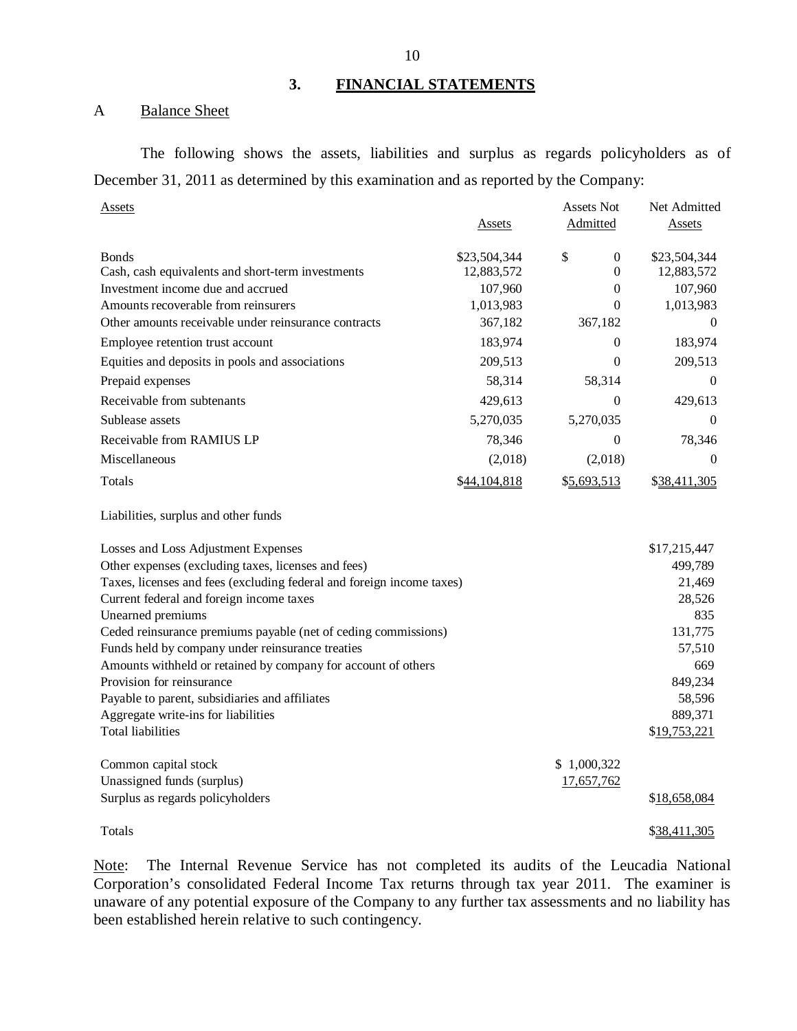### **3. FINANCIAL STATEMENTS**

#### A Balance Sheet

The following shows the assets, liabilities and surplus as regards policyholders as of December 31, 2011 as determined by this examination and as reported by the Company:

| Assets                                                                                 |                       | <b>Assets Not</b>            | Net Admitted          |
|----------------------------------------------------------------------------------------|-----------------------|------------------------------|-----------------------|
|                                                                                        | Assets                | Admitted                     | Assets                |
| <b>Bonds</b>                                                                           | \$23,504,344          | \$<br>0                      | \$23,504,344          |
| Cash, cash equivalents and short-term investments<br>Investment income due and accrued | 12,883,572<br>107,960 | $\boldsymbol{0}$<br>$\theta$ | 12,883,572<br>107,960 |
| Amounts recoverable from reinsurers                                                    | 1,013,983             | $\theta$                     | 1,013,983             |
| Other amounts receivable under reinsurance contracts                                   | 367,182               | 367,182                      | $\theta$              |
| Employee retention trust account                                                       | 183,974               | $\theta$                     | 183,974               |
| Equities and deposits in pools and associations                                        | 209,513               | $\theta$                     | 209,513               |
| Prepaid expenses                                                                       | 58,314                | 58,314                       | $\mathbf{0}$          |
| Receivable from subtenants                                                             | 429,613               | $\Omega$                     | 429,613               |
| Sublease assets                                                                        | 5,270,035             | 5,270,035                    | $\Omega$              |
| Receivable from RAMIUS LP                                                              | 78,346                | $\boldsymbol{0}$             | 78,346                |
| Miscellaneous                                                                          | (2,018)               | (2,018)                      | $\mathbf{0}$          |
| Totals                                                                                 | \$44,104,818          | \$5,693,513                  | \$38,411,305          |
| Liabilities, surplus and other funds                                                   |                       |                              |                       |
| Losses and Loss Adjustment Expenses                                                    |                       |                              | \$17,215,447          |
| Other expenses (excluding taxes, licenses and fees)                                    |                       |                              | 499,789               |
| Taxes, licenses and fees (excluding federal and foreign income taxes)                  |                       |                              | 21,469                |
| Current federal and foreign income taxes                                               |                       |                              | 28,526                |
| Unearned premiums                                                                      |                       |                              | 835                   |
| Ceded reinsurance premiums payable (net of ceding commissions)                         |                       |                              | 131,775               |
| Funds held by company under reinsurance treaties                                       |                       |                              | 57,510                |
| Amounts withheld or retained by company for account of others                          |                       |                              | 669                   |
| Provision for reinsurance                                                              |                       |                              | 849,234               |
| Payable to parent, subsidiaries and affiliates                                         |                       |                              | 58,596                |
| Aggregate write-ins for liabilities                                                    |                       |                              | 889,371               |
| <b>Total liabilities</b>                                                               |                       |                              | \$19,753,221          |
| Common capital stock                                                                   |                       | \$1,000,322                  |                       |
| Unassigned funds (surplus)                                                             |                       | 17,657,762                   |                       |
| Surplus as regards policyholders                                                       |                       |                              | \$18,658,084          |
| Totals                                                                                 |                       |                              | \$38,411,305          |

Note: The Internal Revenue Service has not completed its audits of the Leucadia National Corporation's consolidated Federal Income Tax returns through tax year 2011. The examiner is unaware of any potential exposure of the Company to any further tax assessments and no liability has been established herein relative to such contingency.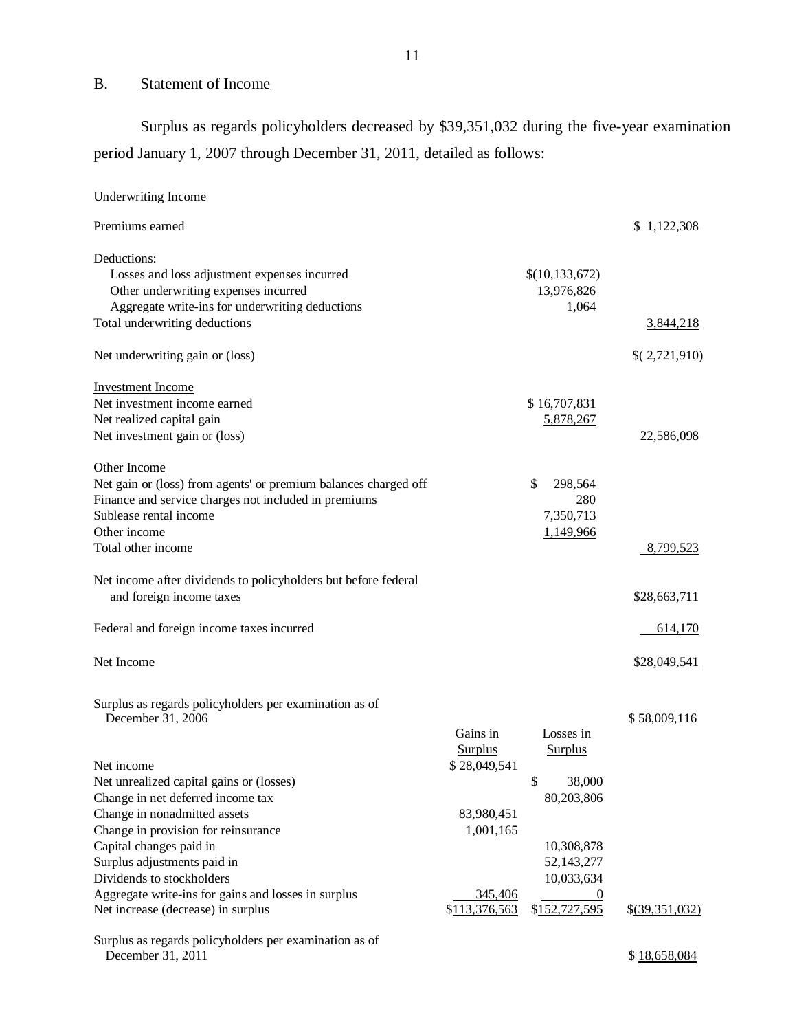## B. Statement of Income

Surplus as regards policyholders decreased by \$39,351,032 during the five-year examination period January 1, 2007 through December 31, 2011, detailed as follows:

| <b>Underwriting Income</b>                                                                                                                                                              |                                                           |                                                         |                  |
|-----------------------------------------------------------------------------------------------------------------------------------------------------------------------------------------|-----------------------------------------------------------|---------------------------------------------------------|------------------|
| Premiums earned                                                                                                                                                                         |                                                           |                                                         | \$1,122,308      |
| Deductions:<br>Losses and loss adjustment expenses incurred<br>Other underwriting expenses incurred<br>Aggregate write-ins for underwriting deductions<br>Total underwriting deductions |                                                           | \$(10, 133, 672)<br>13,976,826<br>1,064                 | <u>3,844,218</u> |
|                                                                                                                                                                                         |                                                           |                                                         |                  |
| Net underwriting gain or (loss)                                                                                                                                                         |                                                           |                                                         | \$(2,721,910)    |
| <b>Investment Income</b><br>Net investment income earned<br>Net realized capital gain<br>Net investment gain or (loss)                                                                  |                                                           | \$16,707,831<br>5,878,267                               | 22,586,098       |
| Other Income<br>Net gain or (loss) from agents' or premium balances charged off<br>Finance and service charges not included in premiums<br>Sublease rental income<br>Other income       |                                                           | \$<br>298,564<br>280<br>7,350,713<br>1,149,966          |                  |
| Total other income                                                                                                                                                                      |                                                           |                                                         | 8,799,523        |
| Net income after dividends to policyholders but before federal<br>and foreign income taxes                                                                                              |                                                           |                                                         | \$28,663,711     |
| Federal and foreign income taxes incurred                                                                                                                                               |                                                           |                                                         | 614,170          |
| Net Income                                                                                                                                                                              |                                                           |                                                         | \$28,049,541     |
| Surplus as regards policyholders per examination as of<br>December 31, 2006                                                                                                             | Gains in                                                  | Losses in                                               | \$58,009,116     |
| Net income<br>Net unrealized capital gains or (losses)<br>Change in net deferred income tax<br>Change in nonadmitted assets<br>Change in provision for reinsurance                      | <b>Surplus</b><br>\$28,049,541<br>83,980,451<br>1,001,165 | <b>Surplus</b><br>\$<br>38,000<br>80,203,806            |                  |
| Capital changes paid in<br>Surplus adjustments paid in<br>Dividends to stockholders<br>Aggregate write-ins for gains and losses in surplus<br>Net increase (decrease) in surplus        | 345,406<br>\$113,376,563                                  | 10,308,878<br>52,143,277<br>10,033,634<br>\$152,727,595 | $$$ (39,351,032) |
| Surplus as regards policyholders per examination as of<br>December 31, 2011                                                                                                             |                                                           |                                                         | \$18,658,084     |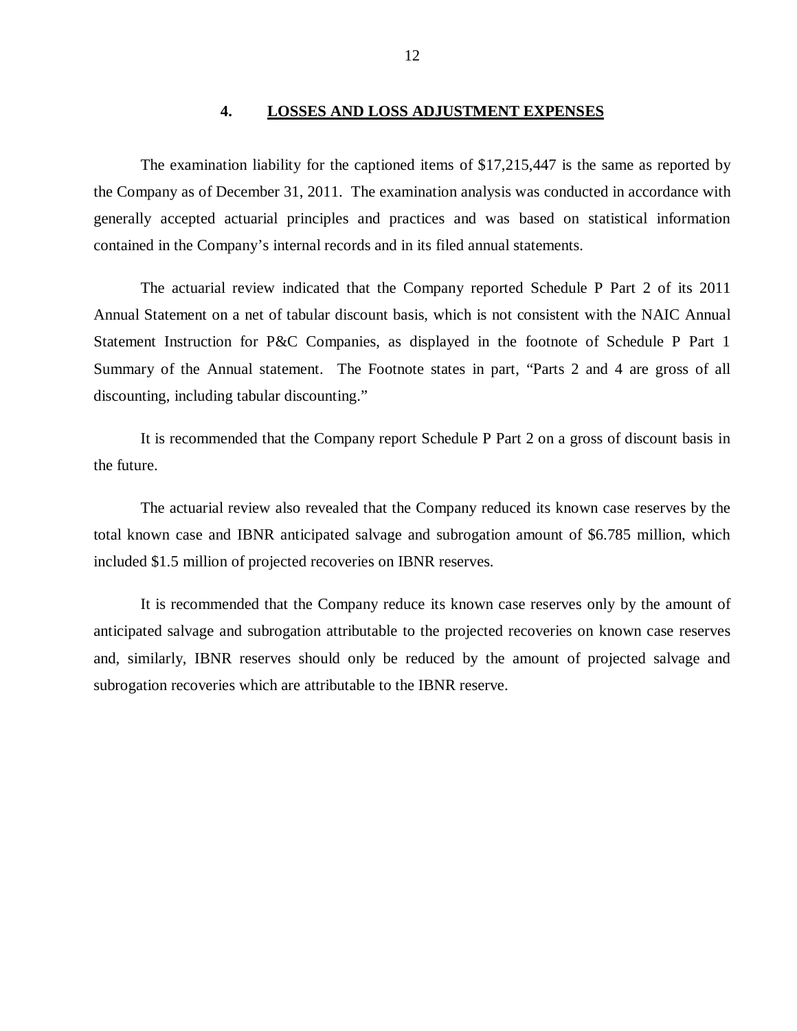#### **4. LOSSES AND LOSS ADJUSTMENT EXPENSES**

<span id="page-13-0"></span>The examination liability for the captioned items of \$17,215,447 is the same as reported by the Company as of December 31, 2011. The examination analysis was conducted in accordance with generally accepted actuarial principles and practices and was based on statistical information contained in the Company's internal records and in its filed annual statements.

The actuarial review indicated that the Company reported Schedule P Part 2 of its 2011 Annual Statement on a net of tabular discount basis, which is not consistent with the NAIC Annual Statement Instruction for P&C Companies, as displayed in the footnote of Schedule P Part 1 Summary of the Annual statement. The Footnote states in part, "Parts 2 and 4 are gross of all discounting, including tabular discounting."

It is recommended that the Company report Schedule P Part 2 on a gross of discount basis in the future.

The actuarial review also revealed that the Company reduced its known case reserves by the total known case and IBNR anticipated salvage and subrogation amount of \$6.785 million, which included \$1.5 million of projected recoveries on IBNR reserves.

It is recommended that the Company reduce its known case reserves only by the amount of anticipated salvage and subrogation attributable to the projected recoveries on known case reserves and, similarly, IBNR reserves should only be reduced by the amount of projected salvage and subrogation recoveries which are attributable to the IBNR reserve.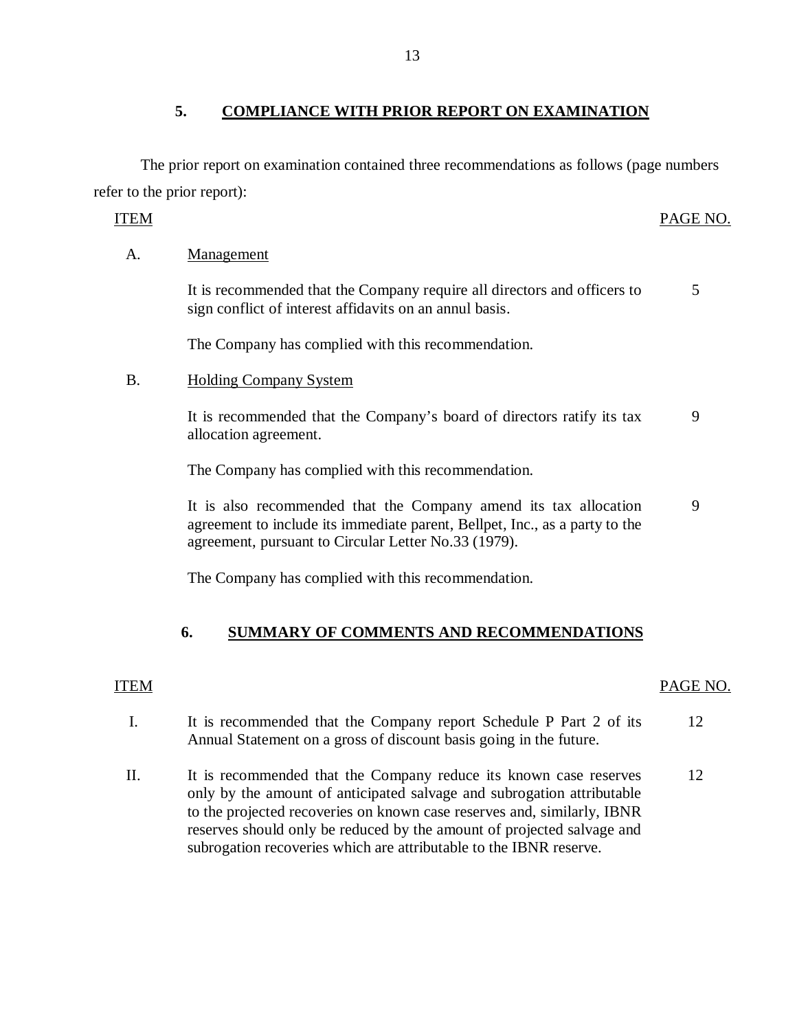## **5. COMPLIANCE WITH PRIOR REPORT ON EXAMINATION**

The prior report on examination contained three recommendations as follows (page numbers refer to the prior report):

## ITEM PAGE NO.

## A. Management

It is recommended that the Company require all directors and officers to sign conflict of interest affidavits on an annul basis. 5

The Company has complied with this recommendation.

## B. Holding Company System

It is recommended that the Company's board of directors ratify its tax allocation agreement. 9

The Company has complied with this recommendation.

It is also recommended that the Company amend its tax allocation agreement to include its immediate parent, Bellpet, Inc., as a party to the agreement, pursuant to Circular Letter No.33 (1979). 9

The Company has complied with this recommendation.

## **6. SUMMARY OF COMMENTS AND RECOMMENDATIONS**

## ITEM PAGE NO.

- I. It is recommended that the Company report Schedule P Part 2 of its 12 Annual Statement on a gross of discount basis going in the future.
- II. It is recommended that the Company reduce its known case reserves 12 only by the amount of anticipated salvage and subrogation attributable to the projected recoveries on known case reserves and, similarly, IBNR reserves should only be reduced by the amount of projected salvage and subrogation recoveries which are attributable to the IBNR reserve.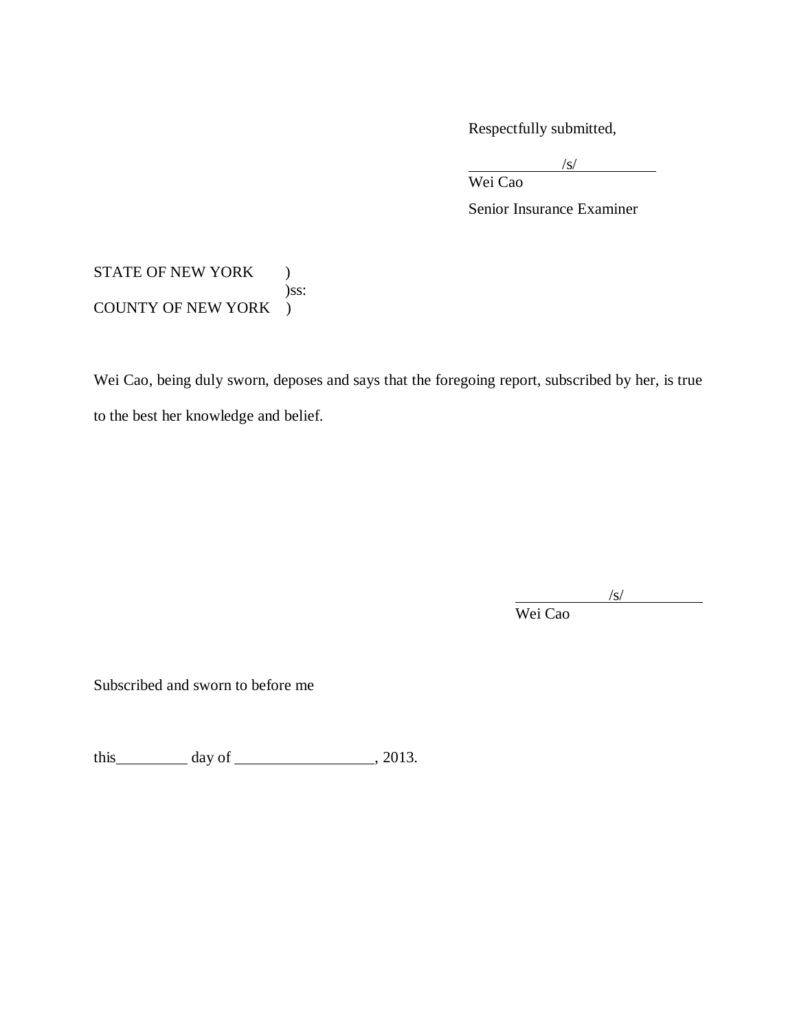Respectfully submitted,

 $\sqrt{s}$ /

Wei Cao

Senior Insurance Examiner

## STATE OF NEW YORK ) )ss: COUNTY OF NEW YORK )

Wei Cao, being duly sworn, deposes and says that the foregoing report, subscribed by her, is true to the best her knowledge and belief.

/s/

Wei Cao

Subscribed and sworn to before me

this  $\_\_\_\_\_\$  day of  $\_\_\_\_\_\_\_\_\_\_\$ , 2013.